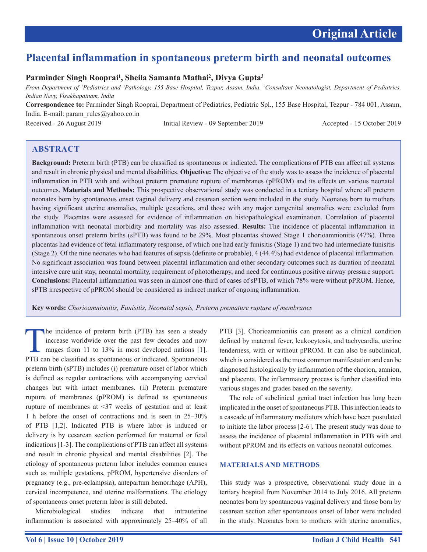# **Placental inflammation in spontaneous preterm birth and neonatal outcomes**

# **Parminder Singh Rooprai1 , Sheila Samanta Mathai2 , Divya Gupta3**

*From Department of 1 Pediatrics and 3 Pathology, 155 Base Hospital, Tezpur, Assam, India, 2 Consultant Neonatologist, Department of Pediatrics, Indian Navy, Visakhapatnam, India*

**Correspondence to:** Parminder Singh Rooprai, Department of Pediatrics, Pediatric Spl., 155 Base Hospital, Tezpur - 784 001, Assam, India. E-mail: param\_rules@yahoo.co.in

Received - 26 August 2019 Initial Review - 09 September 2019 Accepted - 15 October 2019

# **ABSTRACT**

**Background:** Preterm birth (PTB) can be classified as spontaneous or indicated. The complications of PTB can affect all systems and result in chronic physical and mental disabilities. **Objective:** The objective of the study was to assess the incidence of placental inflammation in PTB with and without preterm premature rupture of membranes (pPROM) and its effects on various neonatal outcomes. **Materials and Methods:** This prospective observational study was conducted in a tertiary hospital where all preterm neonates born by spontaneous onset vaginal delivery and cesarean section were included in the study. Neonates born to mothers having significant uterine anomalies, multiple gestations, and those with any major congenital anomalies were excluded from the study. Placentas were assessed for evidence of inflammation on histopathological examination. Correlation of placental inflammation with neonatal morbidity and mortality was also assessed. **Results:** The incidence of placental inflammation in spontaneous onset preterm births (sPTB) was found to be 29%. Most placentas showed Stage 1 chorioamnionitis (47%). Three placentas had evidence of fetal inflammatory response, of which one had early funisitis (Stage 1) and two had intermediate funisitis (Stage 2). Of the nine neonates who had features of sepsis (definite or probable), 4 (44.4%) had evidence of placental inflammation. No significant association was found between placental inflammation and other secondary outcomes such as duration of neonatal intensive care unit stay, neonatal mortality, requirement of phototherapy, and need for continuous positive airway pressure support. **Conclusions:** Placental inflammation was seen in almost one-third of cases of sPTB, of which 78% were without pPROM. Hence, sPTB irrespective of pPROM should be considered as indirect marker of ongoing inflammation.

**Key words:** *Chorioamnionitis, Funisitis, Neonatal sepsis, Preterm premature rupture of membranes*

The incidence of preterm birth (PTB) has seen a steady<br>increase worldwide over the past few decades and now<br>ranges from 11 to 13% in most developed nations [1].<br>PTB can be classified as spontaneous or indicated Spontaneous increase worldwide over the past few decades and now ranges from 11 to 13% in most developed nations [1]. PTB can be classified as spontaneous or indicated. Spontaneous preterm birth (sPTB) includes (i) premature onset of labor which is defined as regular contractions with accompanying cervical changes but with intact membranes. (ii) Preterm premature rupture of membranes (pPROM) is defined as spontaneous rupture of membranes at <37 weeks of gestation and at least 1 h before the onset of contractions and is seen in 25–30% of PTB [1,2]. Indicated PTB is where labor is induced or delivery is by cesarean section performed for maternal or fetal indications [1-3]. The complications of PTB can affect all systems and result in chronic physical and mental disabilities [2]. The etiology of spontaneous preterm labor includes common causes such as multiple gestations, pPROM, hypertensive disorders of pregnancy (e.g., pre-eclampsia), antepartum hemorrhage (APH), cervical incompetence, and uterine malformations. The etiology of spontaneous onset preterm labor is still debated.

Microbiological studies indicate that intrauterine inflammation is associated with approximately 25–40% of all PTB [3]. Chorioamnionitis can present as a clinical condition defined by maternal fever, leukocytosis, and tachycardia, uterine tenderness, with or without pPROM. It can also be subclinical, which is considered as the most common manifestation and can be diagnosed histologically by inflammation of the chorion, amnion, and placenta. The inflammatory process is further classified into various stages and grades based on the severity.

The role of subclinical genital tract infection has long been implicated in the onset of spontaneous PTB. This infection leads to a cascade of inflammatory mediators which have been postulated to initiate the labor process [2-6]. The present study was done to assess the incidence of placental inflammation in PTB with and without pPROM and its effects on various neonatal outcomes.

## **MATERIALS AND METHODS**

This study was a prospective, observational study done in a tertiary hospital from November 2014 to July 2016. All preterm neonates born by spontaneous vaginal delivery and those born by cesarean section after spontaneous onset of labor were included in the study. Neonates born to mothers with uterine anomalies,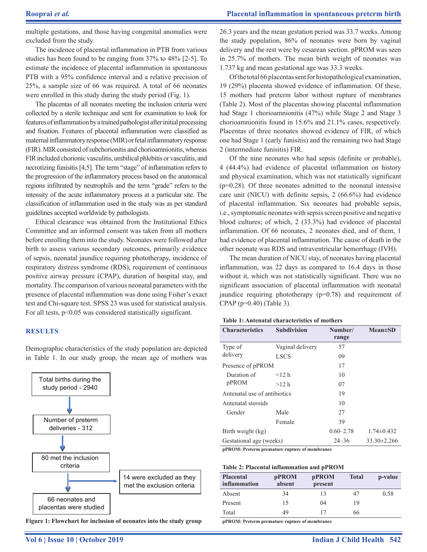multiple gestations, and those having congenital anomalies were excluded from the study.

The incidence of placental inflammation in PTB from various studies has been found to be ranging from 37% to 48% [2-5]. To estimate the incidence of placental inflammation in spontaneous PTB with a 95% confidence interval and a relative precision of 25%, a sample size of 66 was required. A total of 66 neonates were enrolled in this study during the study period (Fig. 1).

The placentas of all neonates meeting the inclusion criteria were collected by a sterile technique and sent for examination to look for features of inflammation by a trained pathologist after initial processing and fixation. Features of placental inflammation were classified as maternal inflammatory response (MIR) or fetal inflammatory response (FIR). MIR consisted of subchorionitis and chorioamnionitis, whereas FIR included chorionic vasculitis, umbilical phlebitis or vasculitis, and necrotizing funisitis [4,5]. The term "stage" of inflammation refers to the progression of the inflammatory process based on the anatomical regions infiltrated by neutrophils and the term "grade" refers to the intensity of the acute inflammatory process at a particular site. The classification of inflammation used in the study was as per standard guidelines accepted worldwide by pathologists.

Ethical clearance was obtained from the Institutional Ethics Committee and an informed consent was taken from all mothers before enrolling them into the study. Neonates were followed after birth to assess various secondary outcomes, primarily evidence of sepsis, neonatal jaundice requiring phototherapy, incidence of respiratory distress syndrome (RDS), requirement of continuous positive airway pressure (CPAP), duration of hospital stay, and mortality. The comparison of various neonatal parameters with the presence of placental inflammation was done using Fisher's exact test and Chi-square test. SPSS 23 was used for statistical analysis. For all tests, p<0.05 was considered statistically significant.

#### **RESULTS**

Demographic characteristics of the study population are depicted in Table 1. In our study group, the mean age of mothers was



**Figure 1: Flowchart for inclusion of neonates into the study group**

26.3 years and the mean gestation period was 33.7 weeks. Among the study population, 86% of neonates were born by vaginal delivery and the rest were by cesarean section. pPROM was seen in 25.7% of mothers. The mean birth weight of neonates was 1.737 kg and mean gestational age was 33.3 weeks.

Of the total 66 placentas sent for histopathological examination, 19 (29%) placenta showed evidence of inflammation. Of these, 15 mothers had preterm labor without rupture of membranes (Table 2). Most of the placentas showing placental inflammation had Stage 1 chorioamnionitis (47%) while Stage 2 and Stage 3 chorioamnionitis found in 15.6% and 21.1% cases, respectively. Placentas of three neonates showed evidence of FIR, of which one had Stage 1 (early funisitis) and the remaining two had Stage 2 (intermediate funisitis) FIR.

Of the nine neonates who had sepsis (definite or probable), 4 (44.4%) had evidence of placental inflammation on history and physical examination, which was not statistically significant  $(p=0.28)$ . Of three neonates admitted to the neonatal intensive care unit (NICU) with definite sepsis, 2 (66.6%) had evidence of placental inflammation. Six neonates had probable sepsis, i.e.,symptomatic neonates with sepsis screen positive and negative blood cultures; of which, 2 (33.3%) had evidence of placental inflammation. Of 66 neonates, 2 neonates died, and of them, 1 had evidence of placental inflammation. The cause of death in the other neonate was RDS and intraventricular hemorrhage (IVH).

The mean duration of NICU stay, of neonates having placental inflammation, was 22 days as compared to 16.4 days in those without it, which was not statistically significant. There was no significant association of placental inflammation with neonatal jaundice requiring phototherapy (p=0.78) and requirement of CPAP (p=0.40) (Table 3).

| <b>Table 1: Antenatal characteristics of mothers</b> |  |  |  |
|------------------------------------------------------|--|--|--|
|------------------------------------------------------|--|--|--|

| <b>Characteristics</b>       | <b>Subdivision</b> | Number/<br>range | $Mean \pm SD$     |
|------------------------------|--------------------|------------------|-------------------|
| Type of                      | Vaginal delivery   | 57               |                   |
| delivery                     | <b>LSCS</b>        | 09               |                   |
| Presence of pPROM            |                    | 17               |                   |
| Duration of                  | $<$ 12 h           | 10               |                   |
| pPROM                        | >12 h              | 07               |                   |
| Antenatal use of antibiotics |                    | 19               |                   |
| Antenatal steroids           |                    | 10               |                   |
| Gender                       | Male               | 27               |                   |
|                              | Female             | 39               |                   |
| Birth weight (kg)            |                    | $0.60 - 2.78$    | $1.74 \pm 0.432$  |
| Gestational age (weeks)      |                    | $24 - 36$        | $33.30 \pm 2.266$ |

**pPROM: Preterm premature rupture of membranes**

**Table 2: Placental inflammation and pPROM**

| <b>Placental</b><br>inflammation | pPROM<br>absent | pPROM<br>present | <b>Total</b> | p-value |
|----------------------------------|-----------------|------------------|--------------|---------|
| Absent                           | 34              | 13               | 47           | 0.58    |
| Present                          | 15              | 04               | 19           |         |
| Total                            | 49              | 17               | 66           |         |

**pPROM: Preterm premature rupture of membranes**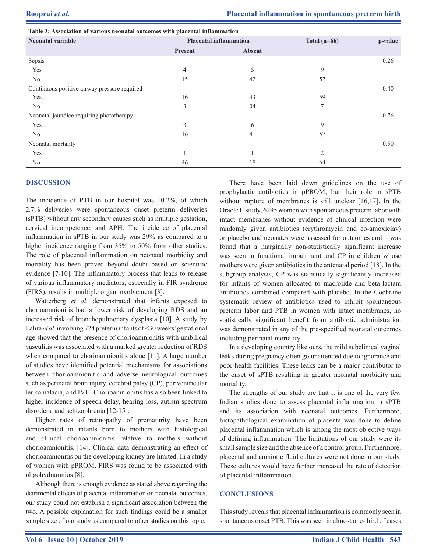| Table 5. Association of various neonatal outcomes with placemal inhammation |                               |        |                |         |  |  |
|-----------------------------------------------------------------------------|-------------------------------|--------|----------------|---------|--|--|
| <b>Neonatal variable</b>                                                    | <b>Placental inflammation</b> |        | Total $(n=66)$ | p-value |  |  |
|                                                                             | Present                       | Absent |                |         |  |  |
| Sepsis                                                                      |                               |        |                | 0.26    |  |  |
| Yes                                                                         | 4                             |        | 9              |         |  |  |
| No                                                                          | 15                            | 42     | 57             |         |  |  |
| Continuous positive airway pressure required                                |                               |        |                | 0.40    |  |  |
| Yes                                                                         | 16                            | 43     | 59             |         |  |  |
| No                                                                          | 3                             | 04     | $\tau$         |         |  |  |
| Neonatal jaundice requiring phototherapy                                    |                               |        |                | 0.76    |  |  |
| Yes                                                                         | 3                             | 6      | 9              |         |  |  |
| No                                                                          | 16                            | 41     | 57             |         |  |  |
| Neonatal mortality                                                          |                               |        |                | 0.50    |  |  |
| Yes                                                                         |                               |        | $\overline{2}$ |         |  |  |
| No                                                                          | 46                            | 18     | 64             |         |  |  |

### **DISCUSSION**

The incidence of PTB in our hospital was 10.2%, of which 2.7% deliveries were spontaneous onset preterm deliveries (sPTB) without any secondary causes such as multiple gestation, cervical incompetence, and APH. The incidence of placental inflammation in sPTB in our study was 29% as compared to a higher incidence ranging from 35% to 50% from other studies. The role of placental inflammation on neonatal morbidity and mortality has been proved beyond doubt based on scientific evidence [7-10]. The inflammatory process that leads to release of various inflammatory mediators, especially in FIR syndrome (FIRS), results in multiple organ involvement [3].

**Table 3: Association of various neonatal outcomes with placental inflammation**

Watterberg *et al.* demonstrated that infants exposed to chorioamnionitis had a lower risk of developing RDS and an increased risk of bronchopulmonary dysplasia [10]. A study by Lahra *et al*. involving 724 preterm infants of <30weeks' gestational age showed that the presence of chorioamnionitis with umbilical vasculitis was associated with a marked greater reduction of RDS when compared to chorioamnionitis alone [11]. A large number of studies have identified potential mechanisms for associations between chorioamnionitis and adverse neurological outcomes such as perinatal brain injury, cerebral palsy (CP), periventricular leukomalacia, and IVH. Chorioamnionitis has also been linked to higher incidence of speech delay, hearing loss, autism spectrum disorders, and schizophrenia [12-15].

Higher rates of retinopathy of prematurity have been demonstrated in infants born to mothers with histological and clinical chorioamnionitis relative to mothers without chorioamnionitis. [14]. Clinical data demonstrating an effect of chorioamnionitis on the developing kidney are limited. In a study of women with pPROM, FIRS was found to be associated with oligohydramnios [8].

Although there is enough evidence as stated above regarding the detrimental effects of placental inflammation on neonatal outcomes, our study could not establish a significant association between the two. A possible explanation for such findings could be a smaller sample size of our study as compared to other studies on this topic.

There have been laid down guidelines on the use of prophylactic antibiotics in pPROM, but their role in sPTB without rupture of membranes is still unclear [16,17]. In the Oracle II study, 6295 women with spontaneous preterm labor with intact membranes without evidence of clinical infection were randomly given antibiotics (erythromycin and co-amoxiclav) or placebo and neonates were assessed for outcomes and it was found that a marginally non-statistically significant increase was seen in functional impairment and CP in children whose mothers were given antibiotics in the antenatal period [18]. In the subgroup analysis, CP was statistically significantly increased for infants of women allocated to macrolide and beta-lactam antibiotics combined compared with placebo. In the Cochrane systematic review of antibiotics used to inhibit spontaneous preterm labor and PTB in women with intact membranes, no statistically significant benefit from antibiotic administration was demonstrated in any of the pre-specified neonatal outcomes including perinatal mortality.

In a developing country like ours, the mild subclinical vaginal leaks during pregnancy often go unattended due to ignorance and poor health facilities. These leaks can be a major contributor to the onset of sPTB resulting in greater neonatal morbidity and mortality.

The strengths of our study are that it is one of the very few Indian studies done to assess placental inflammation in sPTB and its association with neonatal outcomes. Furthermore, histopathological examination of placenta was done to define placental inflammation which is among the most objective ways of defining inflammation. The limitations of our study were its small sample size and the absence of a control group. Furthermore, placental and amniotic fluid cultures were not done in our study. These cultures would have further increased the rate of detection of placental inflammation.

# **CONCLUSIONS**

This study reveals that placental inflammation is commonly seen in spontaneous onset PTB. This was seen in almost one-third of cases